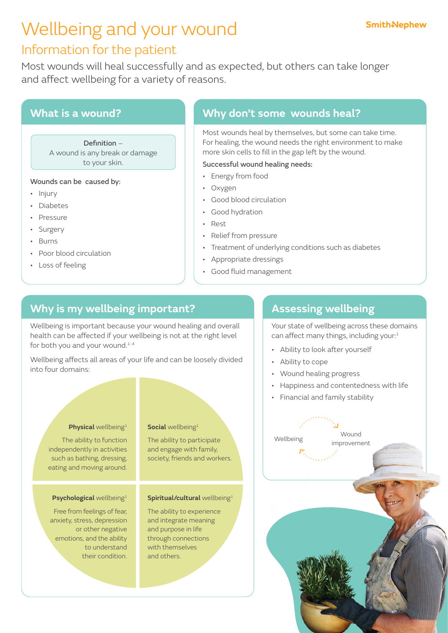# Wellbeing and your wound

## Information for the patient

Most wounds will heal successfully and as expected, but others can take longer and affect wellbeing for a variety of reasons.

## **What is a wound?**

Definition – A wound is any break or damage to your skin.

### Wounds can be caused by:

- Injury
- Diabetes
- Pressure
- Surgery
- Burns
- Poor blood circulation
- Loss of feeling

## **Why don't some wounds heal?**

Most wounds heal by themselves, but some can take time. For healing, the wound needs the right environment to make more skin cells to fill in the gap left by the wound.

### Successful wound healing needs:

- Energy from food
- Oxygen
- Good blood circulation
- Good hydration
- Rest
- Relief from pressure
- Treatment of underlying conditions such as diabetes
- Appropriate dressings
- Good fluid management

## **Why is my wellbeing important?**

Wellbeing is important because your wound healing and overall health can be affected if your wellbeing is not at the right level for both you and your wound.<sup>1-4</sup>

Wellbeing affects all areas of your life and can be loosely divided into four domains:

### **Physical** wellbeing<sup>1</sup>

The ability to function independently in activities such as bathing, dressing, eating and moving around.

### **Psychological** wellbeing<sup>1</sup>

Free from feelings of fear, anxiety, stress, depression or other negative emotions, and the ability to understand their condition.

### **Social** wellbeing<sup>1</sup>

The ability to participate and engage with family, society, friends and workers.

### **Spiritual/cultural** wellbeing1

The ability to experience and integrate meaning and purpose in life through connections with themselves and others.

## **Assessing wellbeing**

Your state of wellbeing across these domains can affect many things, including your:<sup>1</sup>

- Ability to look after yourself
- Ability to cope
- Wound healing progress
- Happiness and contentedness with life
- Financial and family stability